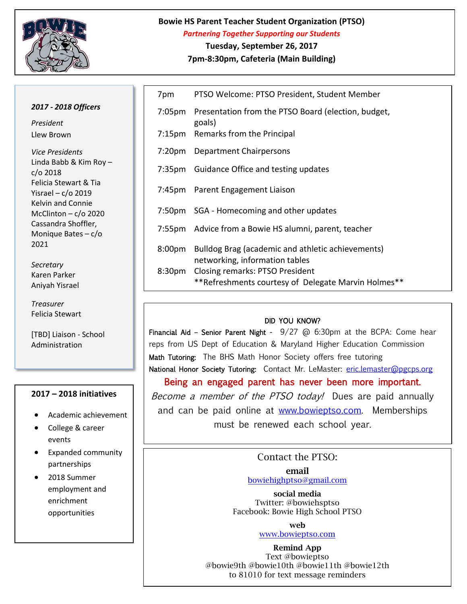

## **Bowie HS Parent Teacher Student Organization (PTSO)** *Partnering Together Supporting our Students* **Tuesday, September 26, 2017**

**7pm-8:30pm, Cafeteria (Main Building)**

## *2017 - 2018 Officers*

*President* Llew Brown

*Vice Presidents* Linda Babb & Kim Roy – c/o 2018 Felicia Stewart & Tia Yisrael – c/o 2019 Kelvin and Connie McClinton –  $c$ /o 2020 Cassandra Shoffler, Monique Bates – c/o 2021

*Secretary*  Karen Parker Aniyah Yisrael

*Treasurer*  Felicia Stewart

[TBD] Liaison - School Administration

## **2017 – 2018 initiatives**

- Academic achievement
- College & career events
- Expanded community partnerships
- 2018 Summer employment and enrichment opportunities

| 7pm    | PTSO Welcome: PTSO President, Student Member                                                  |
|--------|-----------------------------------------------------------------------------------------------|
|        | 7:05pm Presentation from the PTSO Board (election, budget,<br>goals)                          |
|        | 7:15pm Remarks from the Principal                                                             |
|        | 7:20pm Department Chairpersons                                                                |
|        | 7:35pm Guidance Office and testing updates                                                    |
|        | 7:45pm Parent Engagement Liaison                                                              |
|        | 7:50pm SGA - Homecoming and other updates                                                     |
|        | 7:55pm Advice from a Bowie HS alumni, parent, teacher                                         |
| 8:00pm | Bulldog Brag (academic and athletic achievements)<br>networking, information tables           |
| 8:30pm | <b>Closing remarks: PTSO President</b><br>**Refreshments courtesy of Delegate Marvin Holmes** |
|        |                                                                                               |

## DID YOU KNOW?

Financial Aid – Senior Parent Night -  $9/27$  @ 6:30pm at the BCPA: Come hear reps from US Dept of Education & Maryland Higher Education Commission Math Tutoring: The BHS Math Honor Society offers free tutoring National Honor Society Tutoring: Contact Mr. LeMaster: [eric.lemaster@pgcps.org](mailto:eric.lemaster@pgcps.org) Being an engaged parent has never been more important. Become a member of the PTSO today! Dues are paid annually

and can be paid online at [www.bowieptso.com.](http://www.bowieptso.com/) Memberships must be renewed each school year.

> Contact the PTSO: **email**

[bowiehighptso@gmail.com](mailto:bowiehighptso@gmail.com)

**social media** Twitter: @bowiehsptso Facebook: Bowie High School PTSO

**web** 

[www.bowieptso.com](http://www.bowieptso.com/)

**Remind App** Text @bowieptso @bowie9th @bowie10th @bowie11th @bowie12th to 81010 for text message reminders